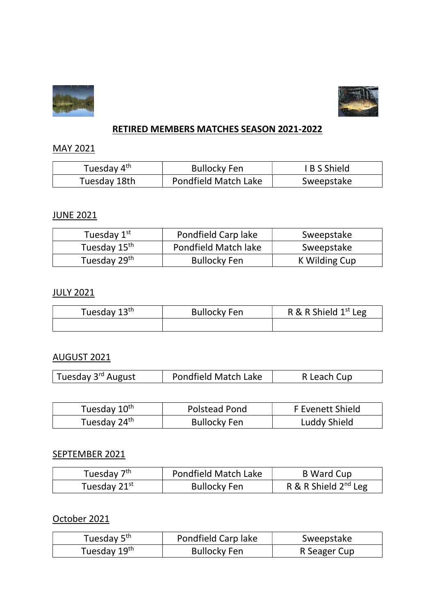



#### RETIRED MEMBERS MATCHES SEASON 2021-2022

## MAY 2021

| Tuesday 4 <sup>th</sup> | <b>Bullocky Fen</b>  | <b>IBS</b> Shield |
|-------------------------|----------------------|-------------------|
| Tuesday 18th            | Pondfield Match Lake | Sweepstake        |

## JUNE 2021

| Tuesday 1st              | Pondfield Carp lake         | Sweepstake    |
|--------------------------|-----------------------------|---------------|
| Tuesday 15 <sup>th</sup> | <b>Pondfield Match lake</b> | Sweepstake    |
| Tuesday 29 <sup>th</sup> | <b>Bullocky Fen</b>         | K Wilding Cup |

#### JULY 2021

| Tuesday 13 <sup>th</sup> | <b>Bullocky Fen</b> | R & R Shield $1st$ Leg |
|--------------------------|---------------------|------------------------|
|                          |                     |                        |

## AUGUST 2021

| Tuesday 3 <sup>rd</sup> August<br>Pondfield Match Lake | R Leach Cup |
|--------------------------------------------------------|-------------|
|--------------------------------------------------------|-------------|

| Tuesday 10 <sup>th</sup> | Polstead Pond       | F Evenett Shield |
|--------------------------|---------------------|------------------|
| Tuesday 24 <sup>th</sup> | <b>Bullocky Fen</b> | Luddy Shield     |

#### SEPTEMBER 2021

| Tuesday 7 <sup>th</sup>  | Pondfield Match Lake | <b>B</b> Ward Cup         |
|--------------------------|----------------------|---------------------------|
| Tuesday 21 <sup>st</sup> | <b>Bullocky Fen</b>  | R & R Shield $2^{nd}$ Leg |

October 2021

| Tuesday 5 <sup>th</sup>  | Pondfield Carp lake | Sweepstake   |
|--------------------------|---------------------|--------------|
| Tuesday 19 <sup>th</sup> | <b>Bullocky Fen</b> | R Seager Cup |